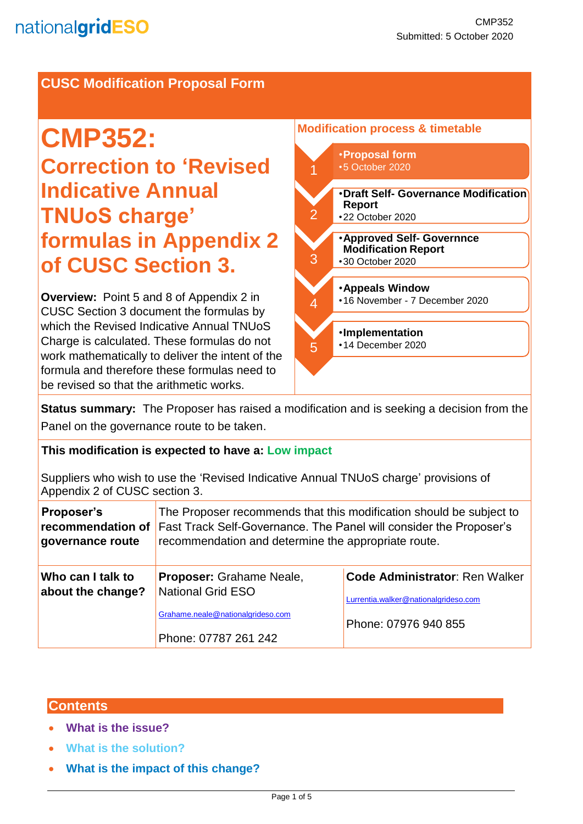## **CUSC Modification Proposal Form**

# **CMP352: Correction to 'Revised Indicative Annual TNUoS charge' formulas in Appendix 2 of CUSC Section 3.**

**Overview:** Point 5 and 8 of Appendix 2 in CUSC Section 3 document the formulas by which the Revised Indicative Annual TNUoS Charge is calculated. These formulas do not work mathematically to deliver the intent of the formula and therefore these formulas need to be revised so that the arithmetic works.



**Status summary:** The Proposer has raised a modification and is seeking a decision from the Panel on the governance route to be taken.

#### **This modification is expected to have a: Low impact**

Suppliers who wish to use the 'Revised Indicative Annual TNUoS charge' provisions of Appendix 2 of CUSC section 3.

| <b>Proposer's</b><br>recommendation of<br>governance route | The Proposer recommends that this modification should be subject to<br>Fast Track Self-Governance. The Panel will consider the Proposer's<br>recommendation and determine the appropriate route. |                                                                               |
|------------------------------------------------------------|--------------------------------------------------------------------------------------------------------------------------------------------------------------------------------------------------|-------------------------------------------------------------------------------|
| Who can I talk to<br>about the change?                     | Proposer: Grahame Neale,<br>National Grid ESO                                                                                                                                                    | <b>Code Administrator: Ren Walker</b><br>Lurrentia.walker@nationalgrideso.com |
|                                                            | Grahame.neale@nationalgrideso.com<br>Phone: 07787 261 242                                                                                                                                        | Phone: 07976 940 855                                                          |

## **Contents**

- **What is the issue?**
- **What is the solution?**
- **What is the impact of this change?**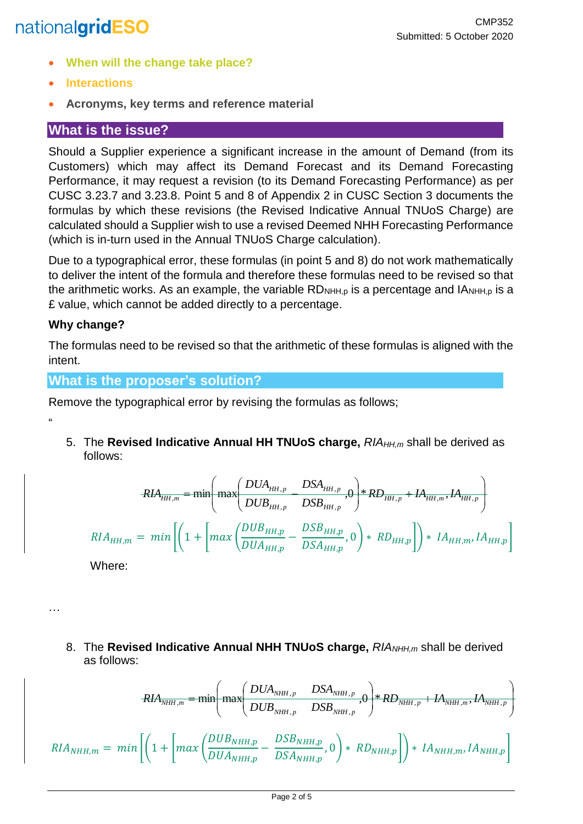## nationalgridESO

- **When will the change take place?**
- **Interactions**
- **Acronyms, key terms and reference material**

## **What is the issue?**

Should a Supplier experience a significant increase in the amount of Demand (from its Customers) which may affect its Demand Forecast and its Demand Forecasting Performance, it may request a revision (to its Demand Forecasting Performance) as per CUSC 3.23.7 and 3.23.8. Point 5 and 8 of Appendix 2 in CUSC Section 3 documents the formulas by which these revisions (the Revised Indicative Annual TNUoS Charge) are calculated should a Supplier wish to use a revised Deemed NHH Forecasting Performance (which is in-turn used in the Annual TNUoS Charge calculation).

Due to a typographical error, these formulas (in point 5 and 8) do not work mathematically to deliver the intent of the formula and therefore these formulas need to be revised so that the arithmetic works. As an example, the variable  $RD_{NH, p}$  is a percentage and  $IA_{NH, p}$  is a £ value, which cannot be added directly to a percentage.

## **Why change?**

 $^{\prime}$ 

…

The formulas need to be revised so that the arithmetic of these formulas is aligned with the intent.

## **What is the proposer's solution?**

Remove the typographical error by revising the formulas as follows;

5. The **Revised Indicative Annual HH TNUoS charge,** *RIAHH,m* shall be derived as follows:

$$
RIA_{HH,m} = \min \left( \max \left( \frac{DUA_{HH,p}}{DUB_{HH,p}} - \frac{DSA_{HH,p}}{DSB_{HH,p}}, 0 \right) * RD_{HH,p} + IA_{HH,m}, IA_{HH,p} \right)
$$
  

$$
RIA_{HH,m} = \min \left[ \left( 1 + \left[ \max \left( \frac{DUB_{HH,p}}{DUA_{HH,p}} - \frac{DSB_{HH,p}}{DSA_{HH,p}}, 0 \right) * RD_{HH,p} \right] \right) * IA_{HH,m}, IA_{HH,p} \right]
$$

Where:

8. The **Revised Indicative Annual NHH TNUoS charge,** RIA<sub>NHH,m</sub> shall be derived as follows:

$$
RIA_{NHH,m} = \min \left( \max \left( \frac{DUA_{NHH,p}}{DUB_{NHH,p}} \frac{DSA_{NHH,p}}{DSB_{NHH,p}} \right) \right) * RDA_{NHH,p} + IA_{NHH,m}, IA_{NHH,p}
$$
\n
$$
RIA_{NHH,m} = \min \left[ \left( 1 + \left[ \max \left( \frac{DUB_{NHH,p}}{DUA_{NHH,p}} - \frac{DSB_{NHH,p}}{DSA_{NHH,p}} \right) \right) * RD_{NHH,p} \right] \right) * IA_{NHH,m}, IA_{NHH,p} \right]
$$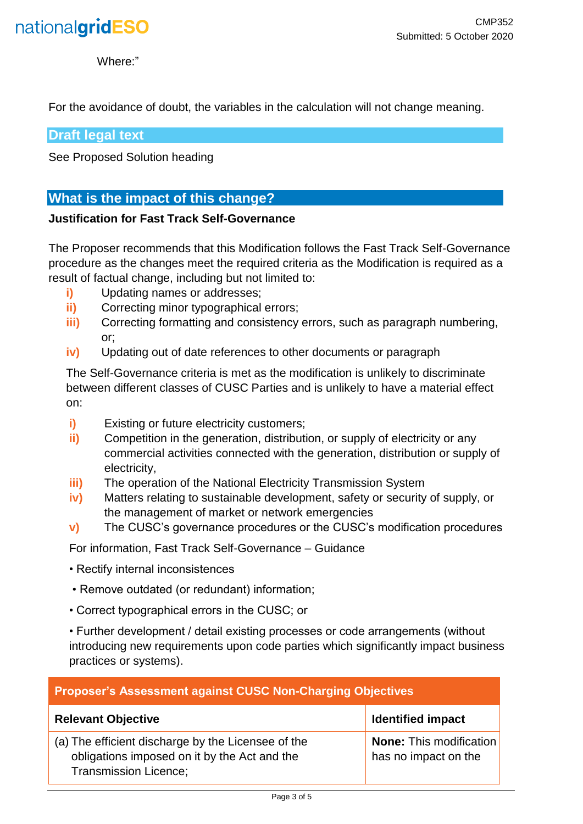

Where:"

For the avoidance of doubt, the variables in the calculation will not change meaning.

**Draft legal text** 

See Proposed Solution heading

## **What is the impact of this change?**

#### **Justification for Fast Track Self-Governance**

The Proposer recommends that this Modification follows the Fast Track Self-Governance procedure as the changes meet the required criteria as the Modification is required as a result of factual change, including but not limited to:

- **i)** Updating names or addresses;
- **ii)** Correcting minor typographical errors;
- **iii)** Correcting formatting and consistency errors, such as paragraph numbering, or;
- **iv)** Updating out of date references to other documents or paragraph

The Self-Governance criteria is met as the modification is unlikely to discriminate between different classes of CUSC Parties and is unlikely to have a material effect on:

- **i)** Existing or future electricity customers;
- **ii)** Competition in the generation, distribution, or supply of electricity or any commercial activities connected with the generation, distribution or supply of electricity,
- **iii)** The operation of the National Electricity Transmission System
- **iv)** Matters relating to sustainable development, safety or security of supply, or the management of market or network emergencies
- **v)** The CUSC's governance procedures or the CUSC's modification procedures

For information, Fast Track Self-Governance – Guidance

- Rectify internal inconsistences
- Remove outdated (or redundant) information;
- Correct typographical errors in the CUSC; or

• Further development / detail existing processes or code arrangements (without introducing new requirements upon code parties which significantly impact business practices or systems).

| <b>Proposer's Assessment against CUSC Non-Charging Objectives</b>                                                                  |                                                        |  |
|------------------------------------------------------------------------------------------------------------------------------------|--------------------------------------------------------|--|
| <b>Relevant Objective</b>                                                                                                          | <b>Identified impact</b>                               |  |
| (a) The efficient discharge by the Licensee of the<br>obligations imposed on it by the Act and the<br><b>Transmission Licence;</b> | <b>None:</b> This modification<br>has no impact on the |  |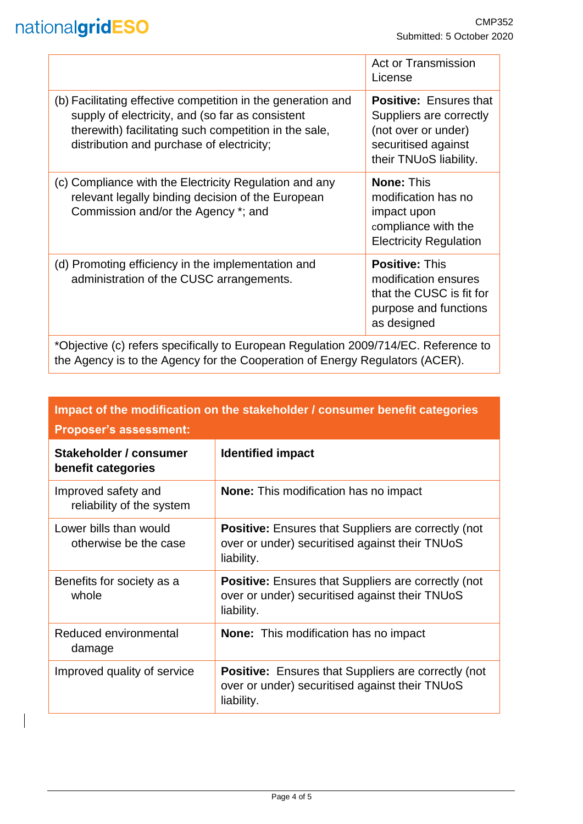## nationalgridESO

|                                                                                                                                                                                                                        | <b>Act or Transmission</b><br>License                                                                                            |  |
|------------------------------------------------------------------------------------------------------------------------------------------------------------------------------------------------------------------------|----------------------------------------------------------------------------------------------------------------------------------|--|
| (b) Facilitating effective competition in the generation and<br>supply of electricity, and (so far as consistent<br>therewith) facilitating such competition in the sale,<br>distribution and purchase of electricity; | <b>Positive: Ensures that</b><br>Suppliers are correctly<br>(not over or under)<br>securitised against<br>their TNUoS liability. |  |
| (c) Compliance with the Electricity Regulation and any<br>relevant legally binding decision of the European<br>Commission and/or the Agency *; and                                                                     | <b>None: This</b><br>modification has no<br>impact upon<br>compliance with the<br><b>Electricity Regulation</b>                  |  |
| (d) Promoting efficiency in the implementation and<br>administration of the CUSC arrangements.                                                                                                                         | <b>Positive: This</b><br>modification ensures<br>that the CUSC is fit for<br>purpose and functions<br>as designed                |  |
| *Objective (c) refers specifically to European Pequiption $2000/714/EC$ Peteropea to                                                                                                                                   |                                                                                                                                  |  |

\*Objective (c) refers specifically to European Regulation 2009/714/EC. Reference to the Agency is to the Agency for the Cooperation of Energy Regulators (ACER).

| Impact of the modification on the stakeholder / consumer benefit categories<br><b>Proposer's assessment:</b> |                                                                                                                            |  |  |
|--------------------------------------------------------------------------------------------------------------|----------------------------------------------------------------------------------------------------------------------------|--|--|
| Stakeholder / consumer<br>benefit categories                                                                 | <b>Identified impact</b>                                                                                                   |  |  |
| Improved safety and<br>reliability of the system                                                             | <b>None:</b> This modification has no impact                                                                               |  |  |
| Lower bills than would<br>otherwise be the case                                                              | <b>Positive:</b> Ensures that Suppliers are correctly (not<br>over or under) securitised against their TNUoS<br>liability. |  |  |
| Benefits for society as a<br>whole                                                                           | <b>Positive:</b> Ensures that Suppliers are correctly (not<br>over or under) securitised against their TNUoS<br>liability. |  |  |
| Reduced environmental<br>damage                                                                              | <b>None:</b> This modification has no impact                                                                               |  |  |
| Improved quality of service                                                                                  | <b>Positive:</b> Ensures that Suppliers are correctly (not<br>over or under) securitised against their TNUoS<br>liability. |  |  |